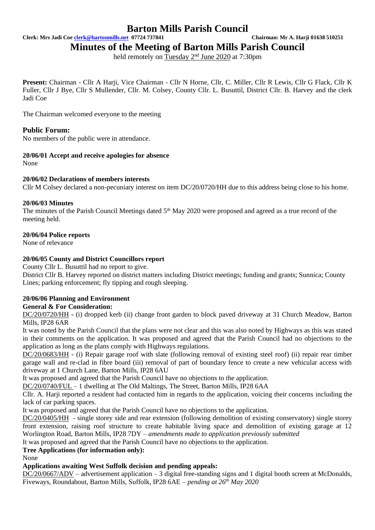**Clerk: Mrs Jadi Coe [clerk@bartonmills.net](mailto:clerk@bartonmills.net) 07724 737841 Chairman: Mr A. Harji 01638 510251**

**Minutes of the Meeting of Barton Mills Parish Council**

held remotely on Tuesday 2<sup>nd</sup> June 2020 at 7:30pm

**Present:** Chairman - Cllr A Harji, Vice Chairman - Cllr N Horne, Cllr, C. Miller, Cllr R Lewis, Cllr G Flack, Cllr K Fuller, Cllr J Bye, Cllr S Mullender, Cllr. M. Colsey, County Cllr. L. Busuttil, District Cllr. B. Harvey and the clerk Jadi Coe

The Chairman welcomed everyone to the meeting

## **Public Forum:**

No members of the public were in attendance.

### **20/06/01 Accept and receive apologies for absence**

None

#### **20/06/02 Declarations of members interests**

Cllr M Colsey declared a non-pecuniary interest on item DC/20/0720/HH due to this address being close to his home.

#### **20/06/03 Minutes**

The minutes of the Parish Council Meetings dated 5<sup>th</sup> May 2020 were proposed and agreed as a true record of the meeting held.

#### **20/06/04 Police reports**

None of relevance

### **20/06/05 County and District Councillors report**

County Cllr L. Busuttil had no report to give.

District Cllr B. Harvey reported on district matters including District meetings; funding and grants; Sunnica; County Lines; parking enforcement; fly tipping and rough sleeping.

#### **20/06/06 Planning and Environment General & For Consideration:**

DC/20/0720/HH **-** (i) dropped kerb (ii) change front garden to block paved driveway at 31 Church Meadow, Barton Mills, IP28 6AR

It was noted by the Parish Council that the plans were not clear and this was also noted by Highways as this was stated in their comments on the application. It was proposed and agreed that the Parish Council had no objections to the application as long as the plans comply with Highways regulations.

DC/20/0683/HH - (i) Repair garage roof with slate (following removal of existing steel roof) (ii) repair rear timber garage wall and re-clad in fibre board (iii) removal of part of boundary fence to create a new vehicular access with driveway at 1 Church Lane, Barton Mills, IP28 6AU

It was proposed and agreed that the Parish Council have no objections to the application.

DC/20/0740/FUL – 1 dwelling at The Old Maltings, The Street, Barton Mills, IP28 6AA

Cllr. A. Harji reported a resident had contacted him in regards to the application, voicing their concerns including the lack of car parking spaces.

It was proposed and agreed that the Parish Council have no objections to the application.

DC/20/0405/HH - single storey side and rear extension (following demolition of existing conservatory) single storey front extension, raising roof structure to create habitable living space and demolition of existing garage at 12 Worlington Road, Barton Mills, IP28 7DY *– amendments made to application previously submitted*

It was proposed and agreed that the Parish Council have no objections to the application.

#### **Tree Applications (for information only):**

None

## **Applications awaiting West Suffolk decision and pending appeals:**

DC/20/0667/ADV – advertisement application – 3 digital free-standing signs and 1 digital booth screen at McDonalds, Fiveways, Roundabout, Barton Mills, Suffolk, IP28 6AE – *pending at 26 th May 2020*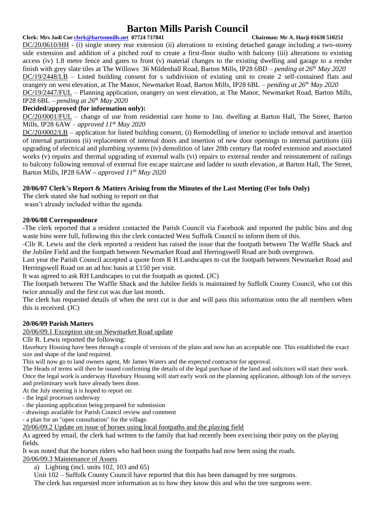#### **Clerk: Mrs Jadi Coe [clerk@bartonmills.net](mailto:clerk@bartonmills.net) 07724 737841 Chairman: Mr A. Harji 01638 510251**

DC/20/0610/HH - (i) single storey rear extension (ii) alterations to existing detached garage including a two-storey side extension and addition of a pitched roof to create a first-floor studio with balcony (iii) alterations to existing access (iv) 1.8 metre fence and gates to front (v) material changes to the existing dwelling and garage to a render finish with grey slate tiles at The Willows 36 Mildenhall Road, Barton Mills, IP28 6BD – *pending at 26 th May 2020* DC/19/2448/LB – Listed building consent for s subdivision of existing unit to create 2 self-contained flats and orangery on west elevation, at The Manor, Newmarket Road, Barton Mills, IP28 6BL – *pending at 26th May 2020* DC/19/2447/FUL – Planning application, orangery on west elevation, at The Manor, Newmarket Road, Barton Mills, IP28 6BL *– pending at 26th May 2020*

#### **Decided/approved (for information only):**

DC/20/0001/FUL – change of use from residential care home to 1no. dwelling at Barton Hall, The Street, Barton Mills, IP28 6AW *– approved 11th May 2020*

DC/20/0002/LB – application for listed building consent, (i) Remodelling of interior to include removal and insertion of internal partitions (ii) replacement of internal doors and insertion of new door openings to internal partitions (iii) upgrading of electrical and plumbing systems (iv) demolition of later 20th century flat roofed extension and associated works (v) repairs and thermal upgrading of external walls (vi) repairs to external render and reinstatement of railings to balcony following removal of external fire escape staircase and ladder to south elevation, at Barton Hall, The Street, Barton Mills, IP28 6AW **–** *approved 11th May 2020*

#### **20/06/07 Clerk's Report & Matters Arising from the Minutes of the Last Meeting (For Info Only)**

The clerk stated she had nothing to report on that

wasn't already included within the agenda.

#### **20/06/08 Correspondence**

-The clerk reported that a resident contacted the Parish Council via Facebook and reported the public bins and dog waste bins were full, following this the clerk contacted West Suffolk Council to inform them of this.

-Cllr R. Lewis and the clerk reported a resident has raised the issue that the footpath between The Waffle Shack and the Jubilee Field and the footpath between Newmarket Road and Herringswell Road are both overgrown.

Last year the Parish Council accepted a quote from R H Landscapes to cut the footpath between Newmarket Road and Herringswell Road on an ad hoc basis at £150 per visit.

It was agreed to ask RH Landscapes to cut the footpath as quoted. (JC)

The footpath between The Waffle Shack and the Jubilee fields is maintained by Suffolk County Council, who cut this twice annually and the first cut was due last month.

The clerk has requested details of when the next cut is due and will pass this information onto the all members when this is received. (JC)

#### **20/06/09 Parish Matters**

20/06/09.1 Exception site on Newmarket Road update

Cllr R. Lewis reported the following:

Havebury Housing have been through a couple of versions of the plans and now has an acceptable one. This established the exact size and shape of the land required.

This will now go to land owners agent, Mr James Waters and the expected contractor for approval.

The Heads of terms will then be issued confirming the details of the legal purchase of the land and solicitors will start their work. Once the legal work is underway Havebury Housing will start early work on the planning application, although lots of the surveys and preliminary work have already been done.

At the July meeting it is hoped to report on:

- the legal processes underway
- the planning application being prepared for submission
- drawings available for Parish Council review and comment
- a plan for an "open consultation" for the village.

20/06/09.2 Update on issue of horses using local footpaths and the playing field

As agreed by email, the clerk had written to the family that had recently been exercising their pony on the playing fields.

It was noted that the horses riders who had been using the footpaths had now been using the roads.

20/06/09.3 Maintenance of Assets

a) Lighting (incl. units  $102$ ,  $103$  and  $65$ )

Unit 102 – Suffolk County Council have reported that this has been damaged by tree surgeons.

The clerk has requested more information as to how they know this and who the tree surgeons were.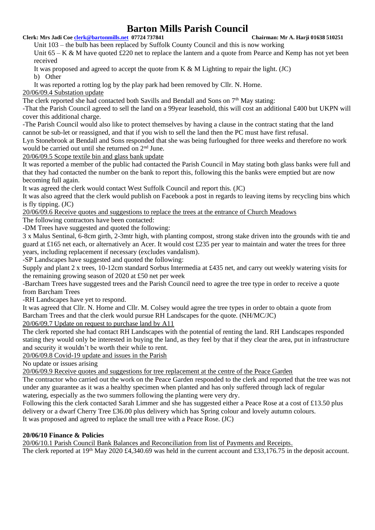**Clerk: Mrs Jadi Coe [clerk@bartonmills.net](mailto:clerk@bartonmills.net) 07724 737841 Chairman: Mr A. Harji 01638 510251**

Unit 103 – the bulb has been replaced by Suffolk County Council and this is now working Unit  $65 - K \& M$  have quoted £220 net to replace the lantern and a quote from Pearce and Kemp has not yet been received

It was proposed and agreed to accept the quote from K  $\&$  M Lighting to repair the light. (JC) b) Other

It was reported a rotting log by the play park had been removed by Cllr. N. Horne.

20/06/09.4 Substation update

The clerk reported she had contacted both Savills and Bendall and Sons on  $7<sup>th</sup>$  May stating:

-That the Parish Council agreed to sell the land on a 99year leasehold, this will cost an additional £400 but UKPN will cover this additional charge.

-The Parish Council would also like to protect themselves by having a clause in the contract stating that the land cannot be sub-let or reassigned, and that if you wish to sell the land then the PC must have first refusal.

Lyn Stonebrook at Bendall and Sons responded that she was being furloughed for three weeks and therefore no work would be carried out until she returned on 2nd June.

20/06/09.5 Scope textile bin and glass bank update

It was reported a member of the public had contacted the Parish Council in May stating both glass banks were full and that they had contacted the number on the bank to report this, following this the banks were emptied but are now becoming full again.

It was agreed the clerk would contact West Suffolk Council and report this. (JC)

It was also agreed that the clerk would publish on Facebook a post in regards to leaving items by recycling bins which is fly tipping. (JC)

20/06/09.6 Receive quotes and suggestions to replace the trees at the entrance of Church Meadows

The following contractors have been contacted:

-DM Trees have suggested and quoted the following:

3 x Malus Sentinal, 6-8cm girth, 2-3mtr high, with planting compost, strong stake driven into the grounds with tie and guard at £165 net each, or alternatively an Acer. It would cost £235 per year to maintain and water the trees for three years, including replacement if necessary (excludes vandalism).

-SP Landscapes have suggested and quoted the following:

Supply and plant 2 x trees, 10-12cm standard Sorbus Intermedia at £435 net, and carry out weekly watering visits for the remaining growing season of 2020 at £50 net per week

-Barcham Trees have suggested trees and the Parish Council need to agree the tree type in order to receive a quote from Barcham Trees

-RH Landscapes have yet to respond.

It was agreed that Cllr. N. Horne and Cllr. M. Colsey would agree the tree types in order to obtain a quote from Barcham Trees and that the clerk would pursue RH Landscapes for the quote. (NH/MC/JC)

20/06/09.7 Update on request to purchase land by A11

The clerk reported she had contact RH Landscapes with the potential of renting the land. RH Landscapes responded stating they would only be interested in buying the land, as they feel by that if they clear the area, put in infrastructure and security it wouldn't be worth their while to rent.

20/06/09.8 Covid-19 update and issues in the Parish

No update or issues arising

20/06/09.9 Receive quotes and suggestions for tree replacement at the centre of the Peace Garden

The contractor who carried out the work on the Peace Garden responded to the clerk and reported that the tree was not under any guarantee as it was a healthy specimen when planted and has only suffered through lack of regular watering, especially as the two summers following the planting were very dry.

Following this the clerk contacted Sarah Limmer and she has suggested either a Peace Rose at a cost of £13.50 plus delivery or a dwarf Cherry Tree £36.00 plus delivery which has Spring colour and lovely autumn colours. It was proposed and agreed to replace the small tree with a Peace Rose. (JC)

## **20/06/10 Finance & Policies**

20/06/10.1 Parish Council Bank Balances and Reconciliation from list of Payments and Receipts. The clerk reported at 19<sup>th</sup> May 2020 £4,340.69 was held in the current account and £33,176.75 in the deposit account.